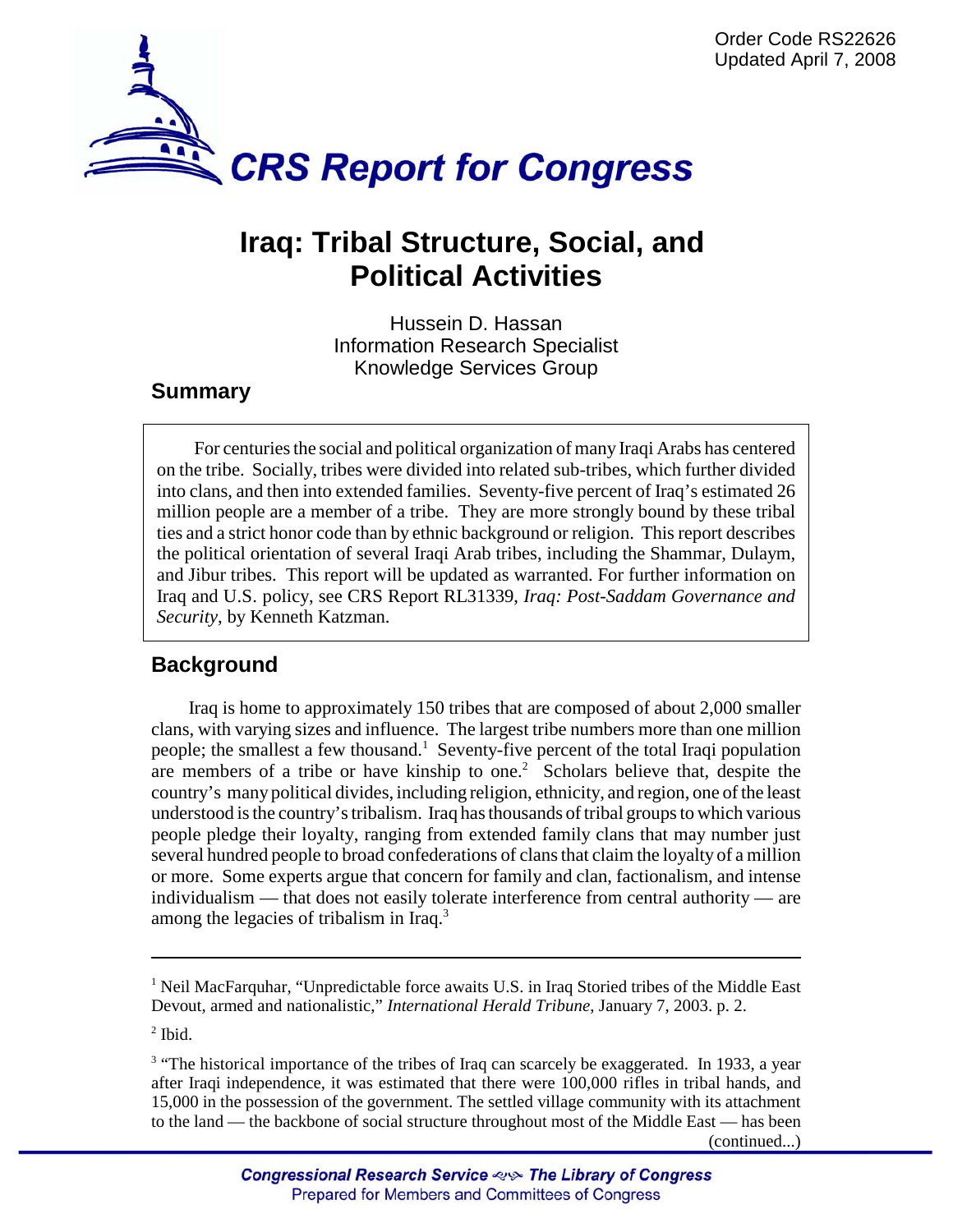

# **Iraq: Tribal Structure, Social, and Political Activities**

Hussein D. Hassan Information Research Specialist Knowledge Services Group

# **Summary**

For centuries the social and political organization of many Iraqi Arabs has centered on the tribe. Socially, tribes were divided into related sub-tribes, which further divided into clans, and then into extended families. Seventy-five percent of Iraq's estimated 26 million people are a member of a tribe. They are more strongly bound by these tribal ties and a strict honor code than by ethnic background or religion. This report describes the political orientation of several Iraqi Arab tribes, including the Shammar, Dulaym, and Jibur tribes. This report will be updated as warranted. For further information on Iraq and U.S. policy, see CRS Report RL31339, *Iraq: Post-Saddam Governance and Security*, by Kenneth Katzman.

# **Background**

Iraq is home to approximately 150 tribes that are composed of about 2,000 smaller clans, with varying sizes and influence. The largest tribe numbers more than one million people; the smallest a few thousand.<sup>1</sup> Seventy-five percent of the total Iraqi population are members of a tribe or have kinship to one.<sup>2</sup> Scholars believe that, despite the country's many political divides, including religion, ethnicity, and region, one of the least understood is the country's tribalism. Iraq has thousands of tribal groups to which various people pledge their loyalty, ranging from extended family clans that may number just several hundred people to broad confederations of clans that claim the loyalty of a million or more. Some experts argue that concern for family and clan, factionalism, and intense individualism — that does not easily tolerate interference from central authority — are among the legacies of tribalism in Iraq.<sup>3</sup>

<sup>1</sup> Neil MacFarquhar, "Unpredictable force awaits U.S. in Iraq Storied tribes of the Middle East Devout, armed and nationalistic," *International Herald Tribune*, January 7, 2003. p. 2.

 $<sup>2</sup>$  Ibid.</sup>

<sup>3</sup> "The historical importance of the tribes of Iraq can scarcely be exaggerated. In 1933, a year after Iraqi independence, it was estimated that there were 100,000 rifles in tribal hands, and 15,000 in the possession of the government. The settled village community with its attachment to the land — the backbone of social structure throughout most of the Middle East — has been (continued...)

> Congressional Research Service <<>>
> <sub>Mere</sub> The Library of Congress Prepared for Members and Committees of Congress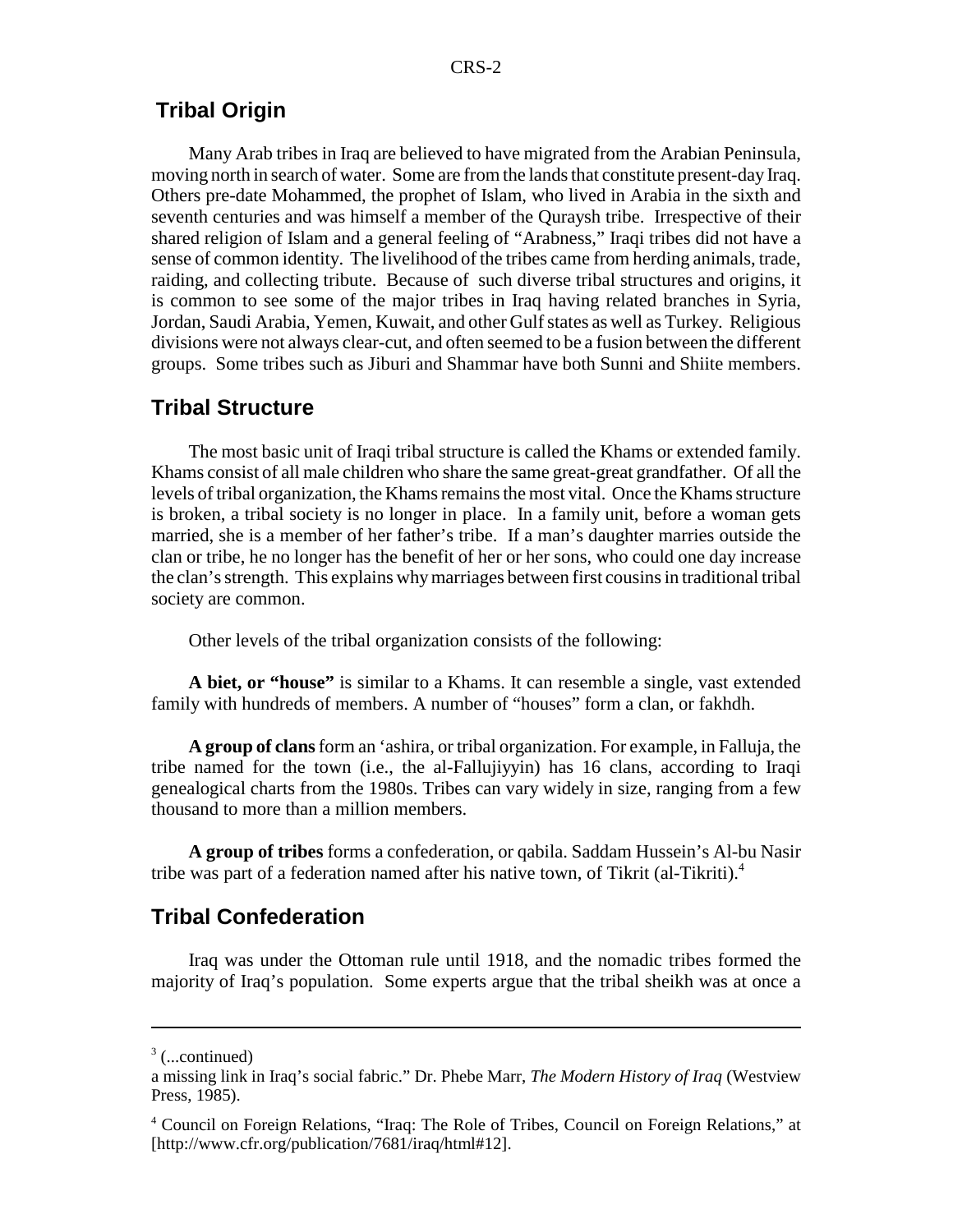## **Tribal Origin**

Many Arab tribes in Iraq are believed to have migrated from the Arabian Peninsula, moving north in search of water. Some are from the lands that constitute present-day Iraq. Others pre-date Mohammed, the prophet of Islam, who lived in Arabia in the sixth and seventh centuries and was himself a member of the Quraysh tribe. Irrespective of their shared religion of Islam and a general feeling of "Arabness," Iraqi tribes did not have a sense of common identity. The livelihood of the tribes came from herding animals, trade, raiding, and collecting tribute. Because of such diverse tribal structures and origins, it is common to see some of the major tribes in Iraq having related branches in Syria, Jordan, Saudi Arabia, Yemen, Kuwait, and other Gulf states as well as Turkey. Religious divisions were not always clear-cut, and often seemed to be a fusion between the different groups. Some tribes such as Jiburi and Shammar have both Sunni and Shiite members.

#### **Tribal Structure**

The most basic unit of Iraqi tribal structure is called the Khams or extended family. Khams consist of all male children who share the same great-great grandfather. Of all the levels of tribal organization, the Khams remains the most vital. Once the Khams structure is broken, a tribal society is no longer in place. In a family unit, before a woman gets married, she is a member of her father's tribe. If a man's daughter marries outside the clan or tribe, he no longer has the benefit of her or her sons, who could one day increase the clan's strength. This explains why marriages between first cousins in traditional tribal society are common.

Other levels of the tribal organization consists of the following:

**A biet, or "house"** is similar to a Khams. It can resemble a single, vast extended family with hundreds of members. A number of "houses" form a clan, or fakhdh.

**A group of clans** form an 'ashira, or tribal organization. For example, in Falluja, the tribe named for the town (i.e., the al-Fallujiyyin) has 16 clans, according to Iraqi genealogical charts from the 1980s. Tribes can vary widely in size, ranging from a few thousand to more than a million members.

**A group of tribes** forms a confederation, or qabila. Saddam Hussein's Al-bu Nasir tribe was part of a federation named after his native town, of Tikrit (al-Tikriti).4

## **Tribal Confederation**

Iraq was under the Ottoman rule until 1918, and the nomadic tribes formed the majority of Iraq's population. Some experts argue that the tribal sheikh was at once a

 $3$  (...continued)

a missing link in Iraq's social fabric." Dr. Phebe Marr, *The Modern History of Iraq* (Westview Press, 1985).

<sup>4</sup> Council on Foreign Relations, "Iraq: The Role of Tribes, Council on Foreign Relations," at [http://www.cfr.org/publication/7681/iraq/html#12].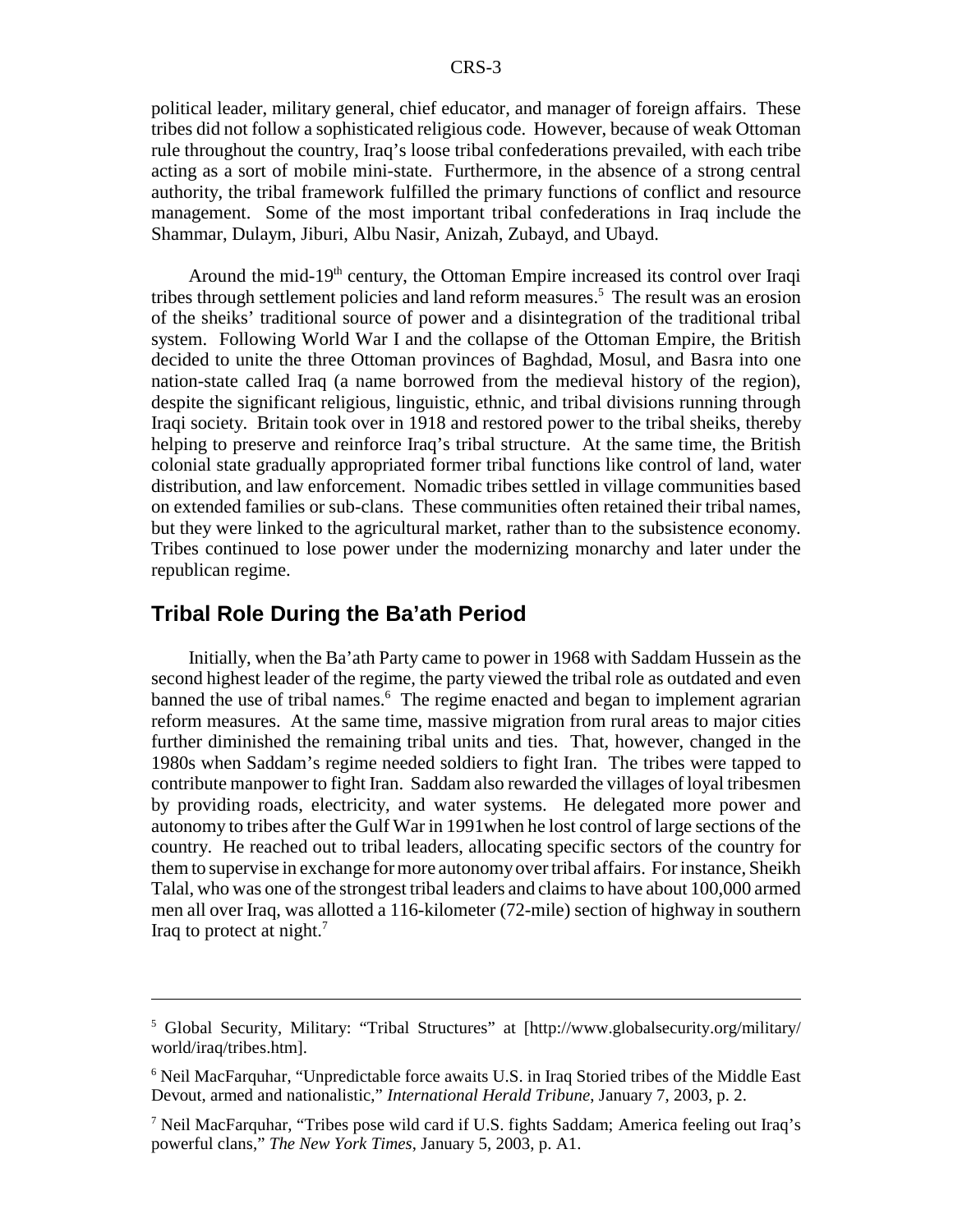political leader, military general, chief educator, and manager of foreign affairs. These tribes did not follow a sophisticated religious code. However, because of weak Ottoman rule throughout the country, Iraq's loose tribal confederations prevailed, with each tribe acting as a sort of mobile mini-state. Furthermore, in the absence of a strong central authority, the tribal framework fulfilled the primary functions of conflict and resource management. Some of the most important tribal confederations in Iraq include the Shammar, Dulaym, Jiburi, Albu Nasir, Anizah, Zubayd, and Ubayd.

Around the mid-19<sup>th</sup> century, the Ottoman Empire increased its control over Iraqi tribes through settlement policies and land reform measures.<sup>5</sup> The result was an erosion of the sheiks' traditional source of power and a disintegration of the traditional tribal system. Following World War I and the collapse of the Ottoman Empire, the British decided to unite the three Ottoman provinces of Baghdad, Mosul, and Basra into one nation-state called Iraq (a name borrowed from the medieval history of the region), despite the significant religious, linguistic, ethnic, and tribal divisions running through Iraqi society. Britain took over in 1918 and restored power to the tribal sheiks, thereby helping to preserve and reinforce Iraq's tribal structure. At the same time, the British colonial state gradually appropriated former tribal functions like control of land, water distribution, and law enforcement. Nomadic tribes settled in village communities based on extended families or sub-clans. These communities often retained their tribal names, but they were linked to the agricultural market, rather than to the subsistence economy. Tribes continued to lose power under the modernizing monarchy and later under the republican regime.

#### **Tribal Role During the Ba'ath Period**

Initially, when the Ba'ath Party came to power in 1968 with Saddam Hussein as the second highest leader of the regime, the party viewed the tribal role as outdated and even banned the use of tribal names.<sup>6</sup> The regime enacted and began to implement agrarian reform measures. At the same time, massive migration from rural areas to major cities further diminished the remaining tribal units and ties. That, however, changed in the 1980s when Saddam's regime needed soldiers to fight Iran. The tribes were tapped to contribute manpower to fight Iran. Saddam also rewarded the villages of loyal tribesmen by providing roads, electricity, and water systems. He delegated more power and autonomy to tribes after the Gulf War in 1991when he lost control of large sections of the country. He reached out to tribal leaders, allocating specific sectors of the country for them to supervise in exchange for more autonomy over tribal affairs. For instance, Sheikh Talal, who was one of the strongest tribal leaders and claims to have about 100,000 armed men all over Iraq, was allotted a 116-kilometer (72-mile) section of highway in southern Iraq to protect at night.<sup>7</sup>

<sup>&</sup>lt;sup>5</sup> Global Security, Military: "Tribal Structures" at [http://www.globalsecurity.org/military/ world/iraq/tribes.htm].

<sup>&</sup>lt;sup>6</sup> Neil MacFarquhar, "Unpredictable force awaits U.S. in Iraq Storied tribes of the Middle East Devout, armed and nationalistic," *International Herald Tribune*, January 7, 2003, p. 2.

<sup>&</sup>lt;sup>7</sup> Neil MacFarquhar, "Tribes pose wild card if U.S. fights Saddam; America feeling out Iraq's powerful clans," *The New York Times*, January 5, 2003, p. A1.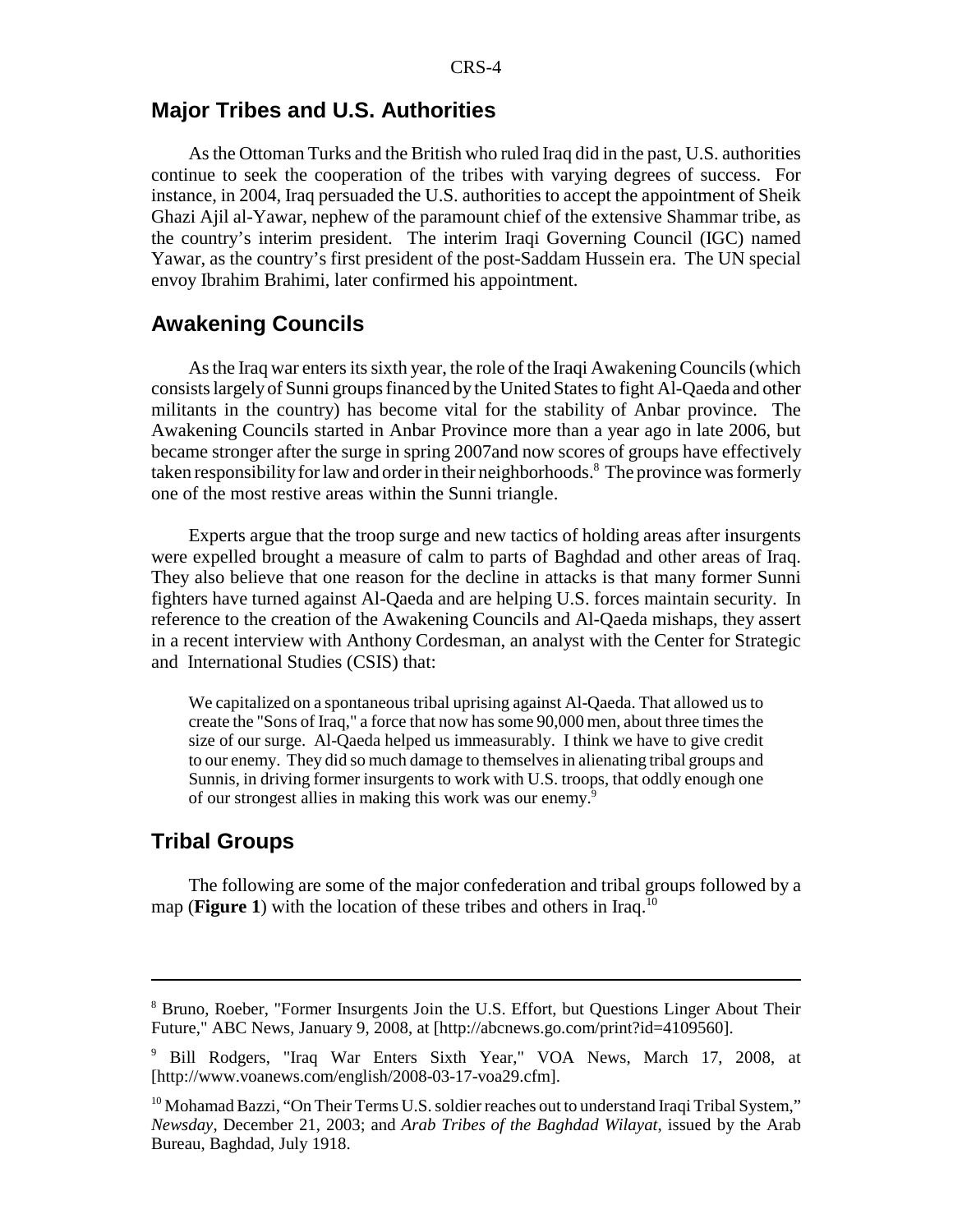#### **Major Tribes and U.S. Authorities**

As the Ottoman Turks and the British who ruled Iraq did in the past, U.S. authorities continue to seek the cooperation of the tribes with varying degrees of success. For instance, in 2004, Iraq persuaded the U.S. authorities to accept the appointment of Sheik Ghazi Ajil al-Yawar, nephew of the paramount chief of the extensive Shammar tribe, as the country's interim president. The interim Iraqi Governing Council (IGC) named Yawar, as the country's first president of the post-Saddam Hussein era. The UN special envoy Ibrahim Brahimi, later confirmed his appointment.

### **Awakening Councils**

As the Iraq war enters its sixth year, the role of the Iraqi Awakening Councils (which consists largely of Sunni groups financed by the United States to fight Al-Qaeda and other militants in the country) has become vital for the stability of Anbar province. The Awakening Councils started in Anbar Province more than a year ago in late 2006, but became stronger after the surge in spring 2007and now scores of groups have effectively taken responsibility for law and order in their neighborhoods.<sup>8</sup> The province was formerly one of the most restive areas within the Sunni triangle.

Experts argue that the troop surge and new tactics of holding areas after insurgents were expelled brought a measure of calm to parts of Baghdad and other areas of Iraq. They also believe that one reason for the decline in attacks is that many former Sunni fighters have turned against Al-Qaeda and are helping U.S. forces maintain security. In reference to the creation of the Awakening Councils and Al-Qaeda mishaps, they assert in a recent interview with Anthony Cordesman, an analyst with the Center for Strategic and International Studies (CSIS) that:

We capitalized on a spontaneous tribal uprising against Al-Qaeda. That allowed us to create the "Sons of Iraq," a force that now has some 90,000 men, about three times the size of our surge. Al-Qaeda helped us immeasurably. I think we have to give credit to our enemy. They did so much damage to themselves in alienating tribal groups and Sunnis, in driving former insurgents to work with U.S. troops, that oddly enough one of our strongest allies in making this work was our enemy.<sup>9</sup>

## **Tribal Groups**

The following are some of the major confederation and tribal groups followed by a map (**Figure 1**) with the location of these tribes and others in Iraq.<sup>10</sup>

<sup>&</sup>lt;sup>8</sup> Bruno, Roeber, "Former Insurgents Join the U.S. Effort, but Questions Linger About Their Future," ABC News, January 9, 2008, at [http://abcnews.go.com/print?id=4109560].

<sup>9</sup> Bill Rodgers, "Iraq War Enters Sixth Year," VOA News, March 17, 2008, at [http://www.voanews.com/english/2008-03-17-voa29.cfm].

 $^{10}$  Mohamad Bazzi, "On Their Terms U.S. soldier reaches out to understand Iraqi Tribal System," *Newsday*, December 21, 2003; and *Arab Tribes of the Baghdad Wilayat*, issued by the Arab Bureau, Baghdad, July 1918.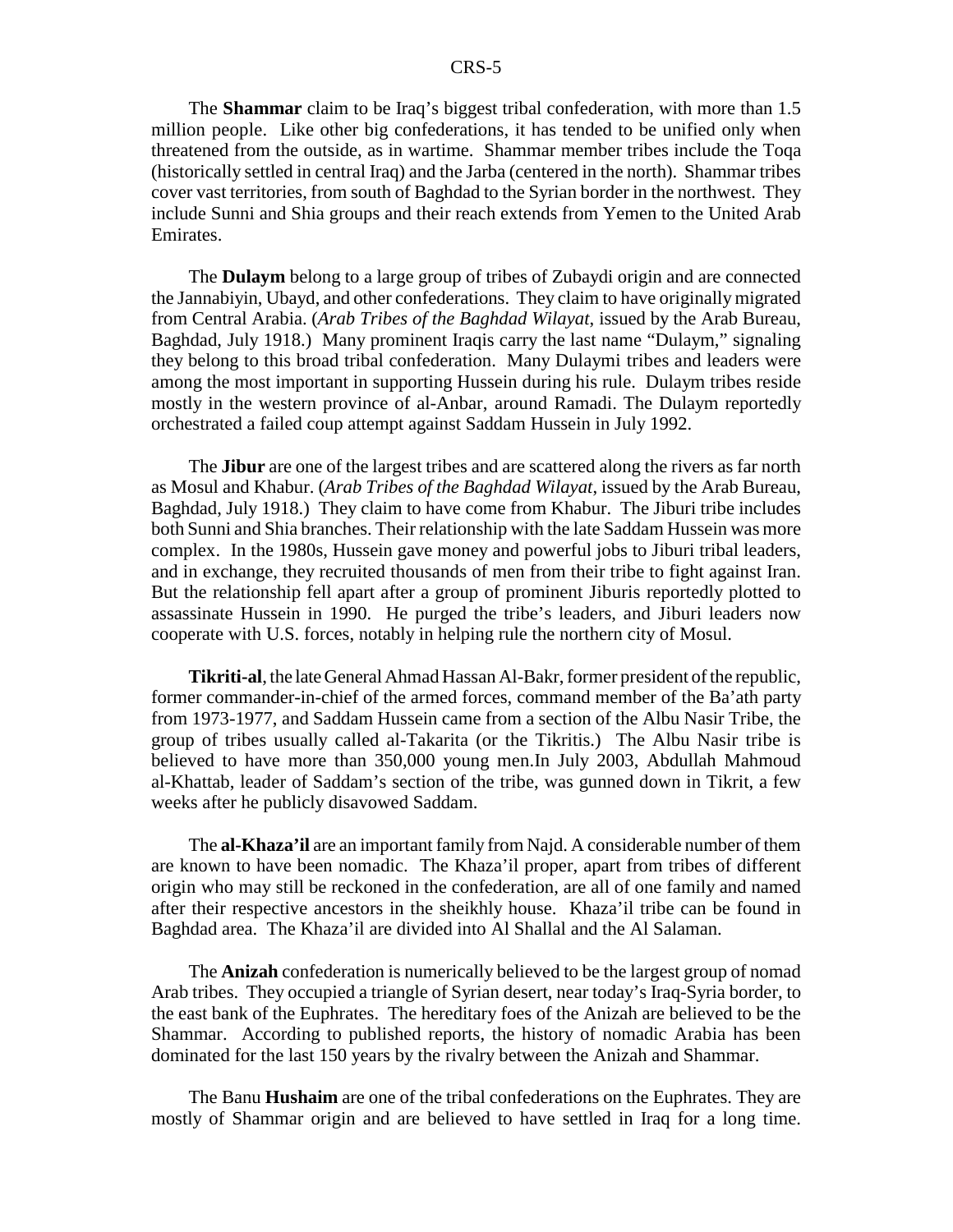The **Shammar** claim to be Iraq's biggest tribal confederation, with more than 1.5 million people. Like other big confederations, it has tended to be unified only when threatened from the outside, as in wartime. Shammar member tribes include the Toqa (historically settled in central Iraq) and the Jarba (centered in the north). Shammar tribes cover vast territories, from south of Baghdad to the Syrian border in the northwest. They include Sunni and Shia groups and their reach extends from Yemen to the United Arab Emirates.

The **Dulaym** belong to a large group of tribes of Zubaydi origin and are connected the Jannabiyin, Ubayd, and other confederations. They claim to have originally migrated from Central Arabia. (*Arab Tribes of the Baghdad Wilayat*, issued by the Arab Bureau, Baghdad, July 1918.) Many prominent Iraqis carry the last name "Dulaym," signaling they belong to this broad tribal confederation. Many Dulaymi tribes and leaders were among the most important in supporting Hussein during his rule. Dulaym tribes reside mostly in the western province of al-Anbar, around Ramadi. The Dulaym reportedly orchestrated a failed coup attempt against Saddam Hussein in July 1992.

The **Jibur** are one of the largest tribes and are scattered along the rivers as far north as Mosul and Khabur. (*Arab Tribes of the Baghdad Wilayat*, issued by the Arab Bureau, Baghdad, July 1918.) They claim to have come from Khabur. The Jiburi tribe includes both Sunni and Shia branches. Their relationship with the late Saddam Hussein was more complex. In the 1980s, Hussein gave money and powerful jobs to Jiburi tribal leaders, and in exchange, they recruited thousands of men from their tribe to fight against Iran. But the relationship fell apart after a group of prominent Jiburis reportedly plotted to assassinate Hussein in 1990. He purged the tribe's leaders, and Jiburi leaders now cooperate with U.S. forces, notably in helping rule the northern city of Mosul.

**Tikriti-al**, the late General Ahmad Hassan Al-Bakr, former president of the republic, former commander-in-chief of the armed forces, command member of the Ba'ath party from 1973-1977, and Saddam Hussein came from a section of the Albu Nasir Tribe, the group of tribes usually called al-Takarita (or the Tikritis.) The Albu Nasir tribe is believed to have more than 350,000 young men.In July 2003, Abdullah Mahmoud al-Khattab, leader of Saddam's section of the tribe, was gunned down in Tikrit, a few weeks after he publicly disavowed Saddam.

The **al-Khaza'il** are an important family from Najd. A considerable number of them are known to have been nomadic. The Khaza'il proper, apart from tribes of different origin who may still be reckoned in the confederation, are all of one family and named after their respective ancestors in the sheikhly house. Khaza'il tribe can be found in Baghdad area. The Khaza'il are divided into Al Shallal and the Al Salaman.

The **Anizah** confederation is numerically believed to be the largest group of nomad Arab tribes. They occupied a triangle of Syrian desert, near today's Iraq-Syria border, to the east bank of the Euphrates. The hereditary foes of the Anizah are believed to be the Shammar. According to published reports, the history of nomadic Arabia has been dominated for the last 150 years by the rivalry between the Anizah and Shammar.

The Banu **Hushaim** are one of the tribal confederations on the Euphrates. They are mostly of Shammar origin and are believed to have settled in Iraq for a long time.